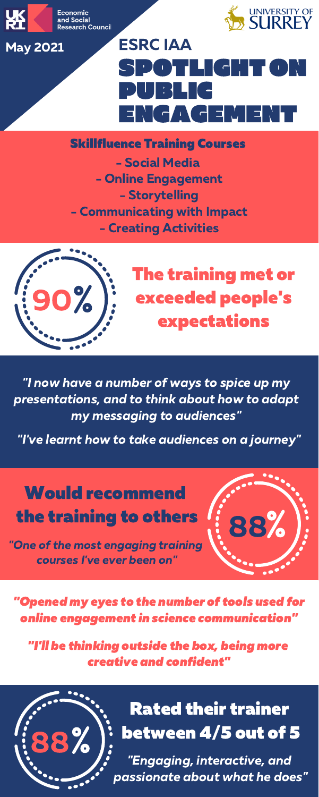

Economic **Research Council** 



- Social Media - Online Engagement - Storytelling - Communicating with Impact - Creating Activities

# DTH (di PUBLIC NGAGEMENT ESRC IAA

# The training met or exceeded people's expectations

Would recommend the training to others<br>The of the most engaging training

courses I' "One of the most engaging training

#### Skillfluence Training Courses



88



"I now have <sup>a</sup> number of ways to spice up my presentations, and to think about how to adapt ave a number of ways to spic<br>:ions, and to think about how<br>my messaging to audiences" my messaging to audiences"<br>"I've learnt how to take audiences on a journey" "



Rated their trainer between 4/5 out of 5 "Engaging, interactive, and

passionate about what he does"

"Opened my eyes to the number of tools used for online engagement in science communication"

"I'll be thinking outside the box, being more creative and confident"

#### May 2021